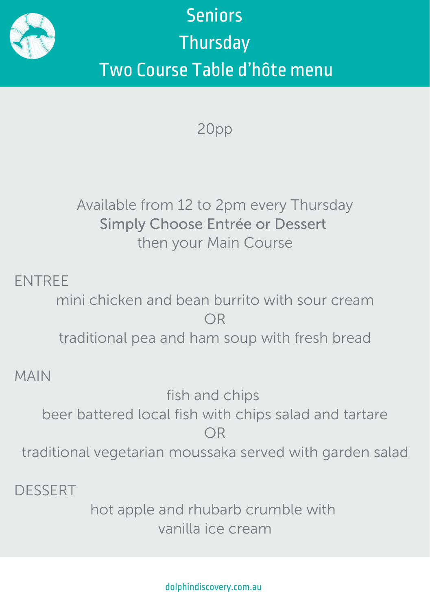

## **Seniors Thursday** Two Course Table d'hôte menu

20pp

## Available from 12 to 2pm every Thursday Simply Choose Entrée or Dessert then your Main Course

ENTREE

mini chicken and bean burrito with sour cream OR traditional pea and ham soup with fresh bread

MAIN

fish and chips beer battered local fish with chips salad and tartare OR traditional vegetarian moussaka served with garden salad

DESSERT

hot apple and rhubarb crumble with vanilla ice cream